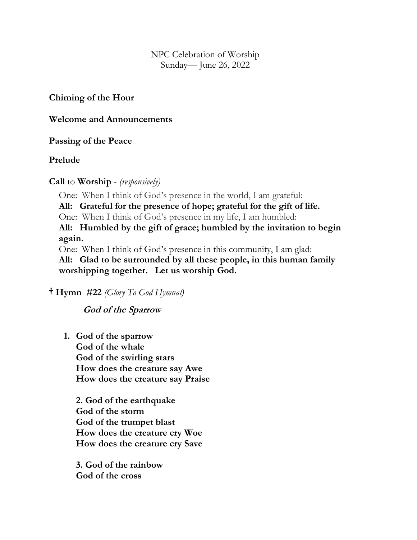NPC Celebration of Worship Sunday— June 26, 2022

### **Chiming of the Hour**

### **Welcome and Announcements**

## **Passing of the Peace**

## **Prelude**

## **Call** to **Worship** - *(responsively)*

One: When I think of God's presence in the world, I am grateful:

**All: Grateful for the presence of hope; grateful for the gift of life.**

One: When I think of God's presence in my life, I am humbled:

**All: Humbled by the gift of grace; humbled by the invitation to begin again.**

One: When I think of God's presence in this community, I am glad:

**All: Glad to be surrounded by all these people, in this human family worshipping together. Let us worship God.**

## † **Hymn #22** *(Glory To God Hymnal)*

## **God of the Sparrow**

**1. God of the sparrow God of the whale God of the swirling stars How does the creature say Awe How does the creature say Praise**

**2. God of the earthquake God of the storm God of the trumpet blast How does the creature cry Woe How does the creature cry Save**

**3. God of the rainbow God of the cross**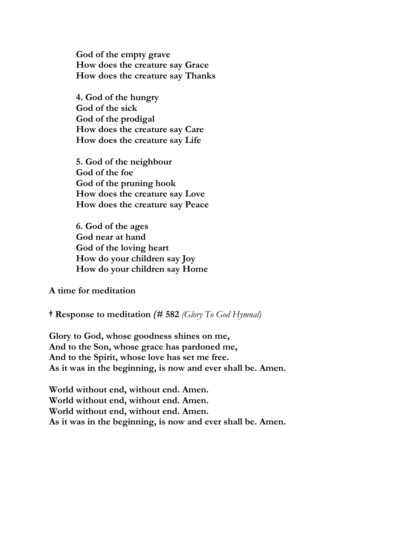**God of the empty grave How does the creature say Grace How does the creature say Thanks**

**4. God of the hungry God of the sick God of the prodigal How does the creature say Care How does the creature say Life**

**5. God of the neighbour God of the foe God of the pruning hook How does the creature say Love How does the creature say Peace**

**6. God of the ages God near at hand God of the loving heart How do your children say Joy How do your children say Home**

**A time for meditation**

† **Response to meditation** *(***# 582** *(Glory To God Hymnal)* 

**Glory to God, whose goodness shines on me, And to the Son, whose grace has pardoned me, And to the Spirit, whose love has set me free. As it was in the beginning, is now and ever shall be. Amen.**

**World without end, without end. Amen. World without end, without end. Amen. World without end, without end. Amen. As it was in the beginning, is now and ever shall be. Amen.**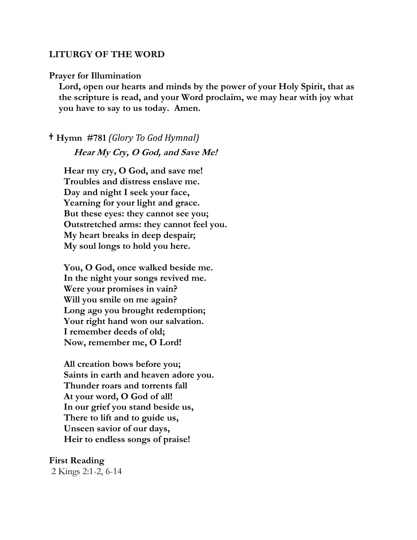#### **LITURGY OF THE WORD**

#### **Prayer for Illumination**

**Lord, open our hearts and minds by the power of your Holy Spirit, that as the scripture is read, and your Word proclaim, we may hear with joy what you have to say to us today. Amen.**

# † **Hymn #781** *(Glory To God Hymnal)* **Hear My Cry, O God, and Save Me!**

**Hear my cry, O God, and save me! Troubles and distress enslave me. Day and night I seek your face, Yearning for your light and grace. But these eyes: they cannot see you; Outstretched arms: they cannot feel you. My heart breaks in deep despair; My soul longs to hold you here.**

**You, O God, once walked beside me. In the night your songs revived me. Were your promises in vain? Will you smile on me again? Long ago you brought redemption; Your right hand won our salvation. I remember deeds of old; Now, remember me, O Lord!**

**All creation bows before you; Saints in earth and heaven adore you. Thunder roars and torrents fall At your word, O God of all! In our grief you stand beside us, There to lift and to guide us, Unseen savior of our days, Heir to endless songs of praise!**

#### **First Reading**

2 Kings 2:1-2, 6-14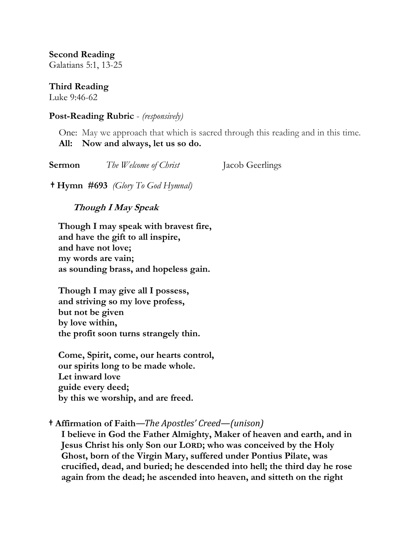**Second Reading** 

Galatians 5:1, 13-25

**Third Reading** 

Luke 9:46-62

## **Post-Reading Rubric** - *(responsively)*

One: May we approach that which is sacred through this reading and in this time. **All: Now and always, let us so do.**

| Sermon | The Welcome of Christ | Jacob Geerlings |
|--------|-----------------------|-----------------|
|        |                       |                 |

† **Hymn #693** *(Glory To God Hymnal)* 

 **Though I May Speak**

**Though I may speak with bravest fire, and have the gift to all inspire, and have not love; my words are vain; as sounding brass, and hopeless gain.**

**Though I may give all I possess, and striving so my love profess, but not be given by love within, the profit soon turns strangely thin.**

**Come, Spirit, come, our hearts control, our spirits long to be made whole. Let inward love guide every deed; by this we worship, and are freed.**

## † **Affirmation of Faith***—The Apostles' Creed—(unison)*

**I believe in God the Father Almighty, Maker of heaven and earth, and in Jesus Christ his only Son our LORD; who was conceived by the Holy Ghost, born of the Virgin Mary, suffered under Pontius Pilate, was crucified, dead, and buried; he descended into hell; the third day he rose again from the dead; he ascended into heaven, and sitteth on the right**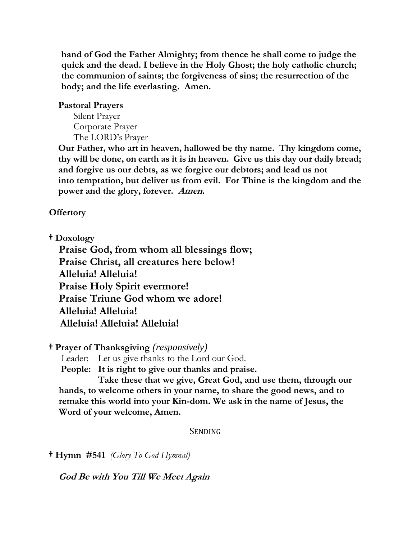**hand of God the Father Almighty; from thence he shall come to judge the quick and the dead. I believe in the Holy Ghost; the holy catholic church; the communion of saints; the forgiveness of sins; the resurrection of the body; and the life everlasting. Amen.**

### **Pastoral Prayers**

Silent Prayer Corporate Prayer The LORD's Prayer

**Our Father, who art in heaven, hallowed be thy name. Thy kingdom come, thy will be done, on earth as it is in heaven. Give us this day our daily bread; and forgive us our debts, as we forgive our debtors; and lead us not into temptation, but deliver us from evil. For Thine is the kingdom and the power and the glory, forever. Amen.**

**Offertory** 

† **Doxology** 

**Praise God, from whom all blessings flow; Praise Christ, all creatures here below! Alleluia! Alleluia! Praise Holy Spirit evermore! Praise Triune God whom we adore! Alleluia! Alleluia! Alleluia! Alleluia! Alleluia!**

† **Prayer of Thanksgiving** *(responsively)* 

Leader: Let us give thanks to the Lord our God.

 **People: It is right to give our thanks and praise.** 

**Take these that we give, Great God, and use them, through our hands, to welcome others in your name, to share the good news, and to remake this world into your Kin-dom. We ask in the name of Jesus, the Word of your welcome, Amen.**

SENDING

† **Hymn #541** *(Glory To God Hymnal)* 

 **God Be with You Till We Meet Again**